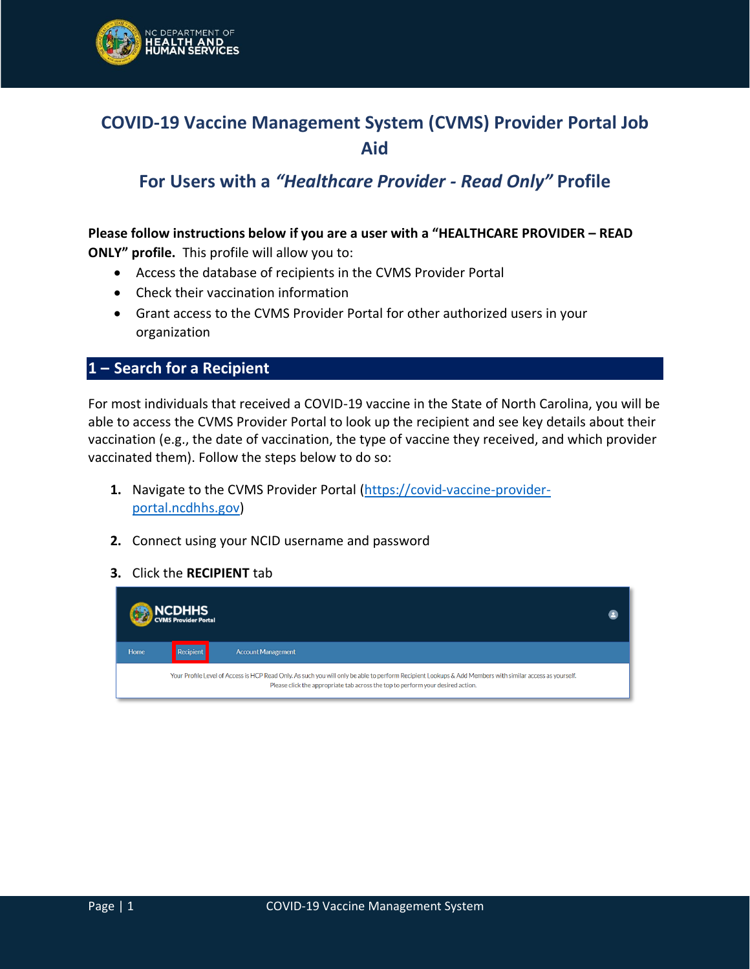

# **COVID-19 Vaccine Management System (CVMS) Provider Portal Job Aid**

## **For Users with a** *"Healthcare Provider - Read Only"* **Profile**

**Please follow instructions below if you are a user with a "HEALTHCARE PROVIDER – READ ONLY" profile.** This profile will allow you to:

- Access the database of recipients in the CVMS Provider Portal
- Check their vaccination information
- Grant access to the CVMS Provider Portal for other authorized users in your organization

## **1 – Search for a Recipient**

For most individuals that received a COVID-19 vaccine in the State of North Carolina, you will be able to access the CVMS Provider Portal to look up the recipient and see key details about their vaccination (e.g., the date of vaccination, the type of vaccine they received, and which provider vaccinated them). Follow the steps below to do so:

- **1.** Navigate to the CVMS Provider Portal [\(https://covid-vaccine-provider](https://covid-vaccine-provider-portal.ncdhhs.gov/)[portal.ncdhhs.gov\)](https://covid-vaccine-provider-portal.ncdhhs.gov/)
- **2.** Connect using your NCID username and password
- **3.** Click the **RECIPIENT** tab

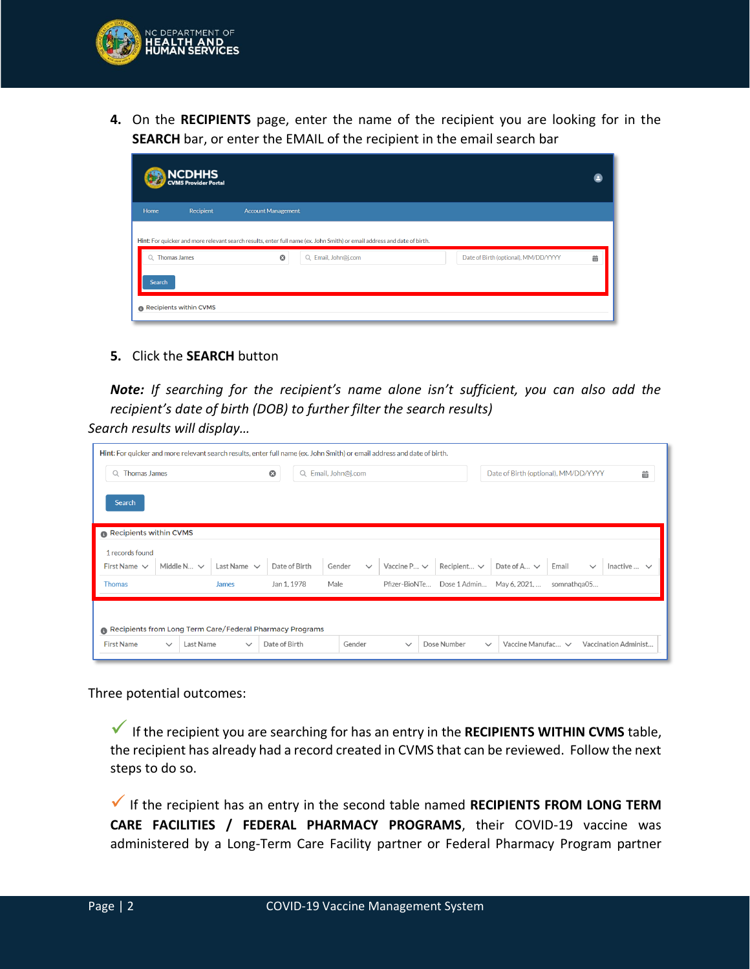

**4.** On the **RECIPIENTS** page, enter the name of the recipient you are looking for in the **SEARCH** bar, or enter the EMAIL of the recipient in the email search bar

|                          | <b>NCDHHS</b><br>CVMS Provider Portal |                           |                                                                                                                                                                                         |   |
|--------------------------|---------------------------------------|---------------------------|-----------------------------------------------------------------------------------------------------------------------------------------------------------------------------------------|---|
| Home                     | Recipient                             | <b>Account Management</b> |                                                                                                                                                                                         |   |
| Q Thomas James<br>Search | Recipients within CVMS                | $\circ$                   | Hint: For quicker and more relevant search results, enter full name (ex. John Smith) or email address and date of birth.<br>Q Email, John@j.com<br>Date of Birth (optional), MM/DD/YYYY | 苗 |

**5.** Click the **SEARCH** button

*Note: If searching for the recipient's name alone isn't sufficient, you can also add the recipient's date of birth (DOB) to further filter the search results)*

*Search results will display…*

|                        |                           |                  | Hint: For quicker and more relevant search results, enter full name (ex. John Smith) or email address and date of birth. |                        |                  |                  |                                         |                       |                      |
|------------------------|---------------------------|------------------|--------------------------------------------------------------------------------------------------------------------------|------------------------|------------------|------------------|-----------------------------------------|-----------------------|----------------------|
| Q Thomas James         |                           |                  | Ø                                                                                                                        | Q Email, John@j.com    |                  |                  | Date of Birth (optional), MM/DD/YYYY    |                       | 齒                    |
| Search                 |                           |                  |                                                                                                                          |                        |                  |                  |                                         |                       |                      |
| Recipients within CVMS |                           |                  |                                                                                                                          |                        |                  |                  |                                         |                       |                      |
| 1 records found        |                           |                  |                                                                                                                          |                        |                  |                  |                                         |                       |                      |
| First Name $\vee$      | Middle N $\vee$           | Last Name $\vee$ | Date of Birth                                                                                                            | Gender<br>$\checkmark$ | Vaccine P $\vee$ | Recipient $\vee$ | Date of A $\vee$                        | Email<br>$\checkmark$ | Inactive             |
| <b>Thomas</b>          |                           | James            | Jan 1, 1978                                                                                                              | Male                   |                  |                  | Pfizer-BioNTe Dose 1 Admin May 6, 2021, | somnathqa05           |                      |
|                        |                           |                  | Recipients from Long Term Care/Federal Pharmacy Programs                                                                 |                        |                  |                  |                                         |                       |                      |
| <b>First Name</b>      | Last Name<br>$\checkmark$ | $\checkmark$     | Date of Birth                                                                                                            | Gender                 | $\checkmark$     | Dose Number      | Vaccine Manufac $\vee$<br>$\checkmark$  |                       | Vaccination Administ |

Three potential outcomes:

✓ If the recipient you are searching for has an entry in the **RECIPIENTS WITHIN CVMS** table, the recipient has already had a record created in CVMS that can be reviewed. Follow the next steps to do so.

✓ If the recipient has an entry in the second table named **RECIPIENTS FROM LONG TERM CARE FACILITIES / FEDERAL PHARMACY PROGRAMS**, their COVID-19 vaccine was administered by a Long-Term Care Facility partner or Federal Pharmacy Program partner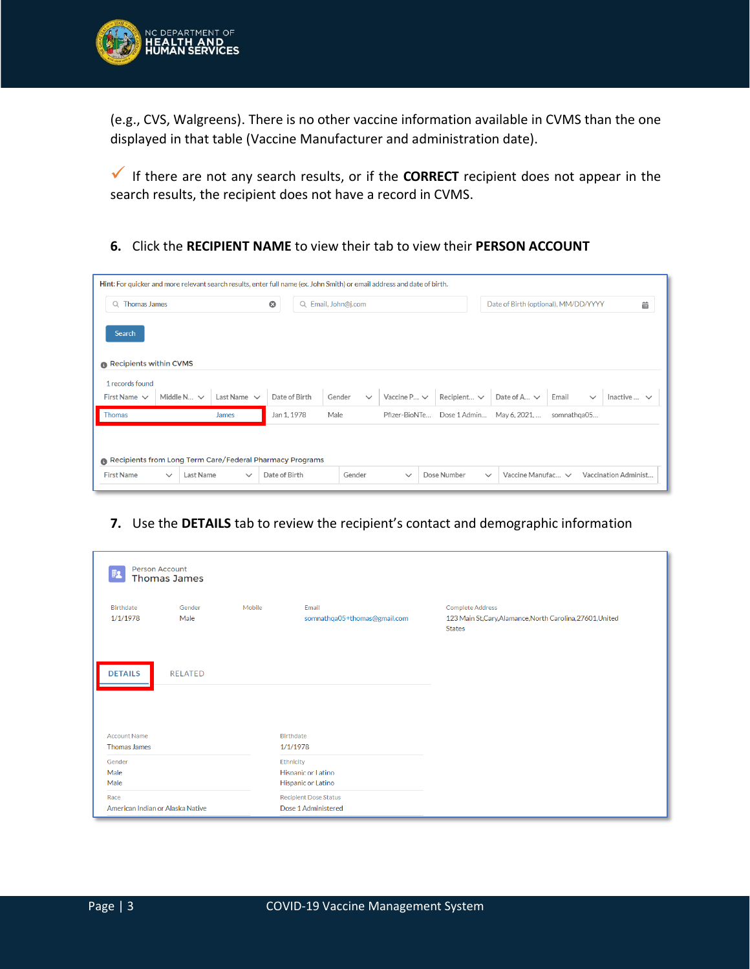

(e.g., CVS, Walgreens). There is no other vaccine information available in CVMS than the one displayed in that table (Vaccine Manufacturer and administration date).

✓ If there are not any search results, or if the **CORRECT** recipient does not appear in the search results, the recipient does not have a record in CVMS.

#### **6.** Click the **RECIPIENT NAME** to view their tab to view their **PERSON ACCOUNT**

| Hint: For quicker and more relevant search results, enter full name (ex. John Smith) or email address and date of birth. |              |                 |                  |               |               |        |                     |                  |                  |              |                                      |       |              |                      |              |
|--------------------------------------------------------------------------------------------------------------------------|--------------|-----------------|------------------|---------------|---------------|--------|---------------------|------------------|------------------|--------------|--------------------------------------|-------|--------------|----------------------|--------------|
| Q Thomas James                                                                                                           |              |                 |                  | ☺             |               |        | Q Email, John@j.com |                  |                  |              | Date of Birth (optional), MM/DD/YYYY |       |              |                      | 齒            |
| Search<br>Recipients within CVMS                                                                                         |              |                 |                  |               |               |        |                     |                  |                  |              |                                      |       |              |                      |              |
| 1 records found                                                                                                          |              |                 |                  |               |               |        |                     |                  |                  |              |                                      |       |              |                      |              |
| First Name $\vee$                                                                                                        |              | Middle N $\vee$ | Last Name $\vee$ |               | Date of Birth | Gender | $\checkmark$        | Vaccine P $\vee$ | Recipient $\vee$ |              | Date of A $\vee$                     | Email | $\checkmark$ | Inactive             | $\checkmark$ |
| <b>Thomas</b>                                                                                                            |              |                 | James            | Jan 1, 1978   |               | Male   |                     | Pfizer-BioNTe    | Dose 1 Admin     |              | May 6, 2021,                         |       | somnathga05  |                      |              |
| Recipients from Long Term Care/Federal Pharmacy Programs                                                                 |              |                 |                  |               |               |        |                     |                  |                  |              |                                      |       |              |                      |              |
| <b>First Name</b>                                                                                                        | $\checkmark$ | Last Name       | $\checkmark$     | Date of Birth |               |        | Gender              | $\checkmark$     | Dose Number      | $\checkmark$ | Vaccine Manufac $\vee$               |       |              | Vaccination Administ |              |

**7.** Use the **DETAILS** tab to review the recipient's contact and demographic information

|                                            | <b>Person Account</b><br><b>Thomas James</b> |        |                                                       |                                                                                                        |
|--------------------------------------------|----------------------------------------------|--------|-------------------------------------------------------|--------------------------------------------------------------------------------------------------------|
| <b>Birthdate</b><br>1/1/1978               | Gender<br>Male                               | Mobile | Email<br>somnathqa05+thomas@gmail.com                 | <b>Complete Address</b><br>123 Main St, Cary, Alamance, North Carolina, 27601, United<br><b>States</b> |
| <b>DETAILS</b>                             | RELATED                                      |        |                                                       |                                                                                                        |
| <b>Account Name</b><br><b>Thomas James</b> |                                              |        | Birthdate<br>1/1/1978                                 |                                                                                                        |
| Gender<br>Male<br>Male                     |                                              |        | Ethnicity<br>Hispanic or Latino<br>Hispanic or Latino |                                                                                                        |
| Race                                       | American Indian or Alaska Native             |        | <b>Recipient Dose Status</b><br>Dose 1 Administered   |                                                                                                        |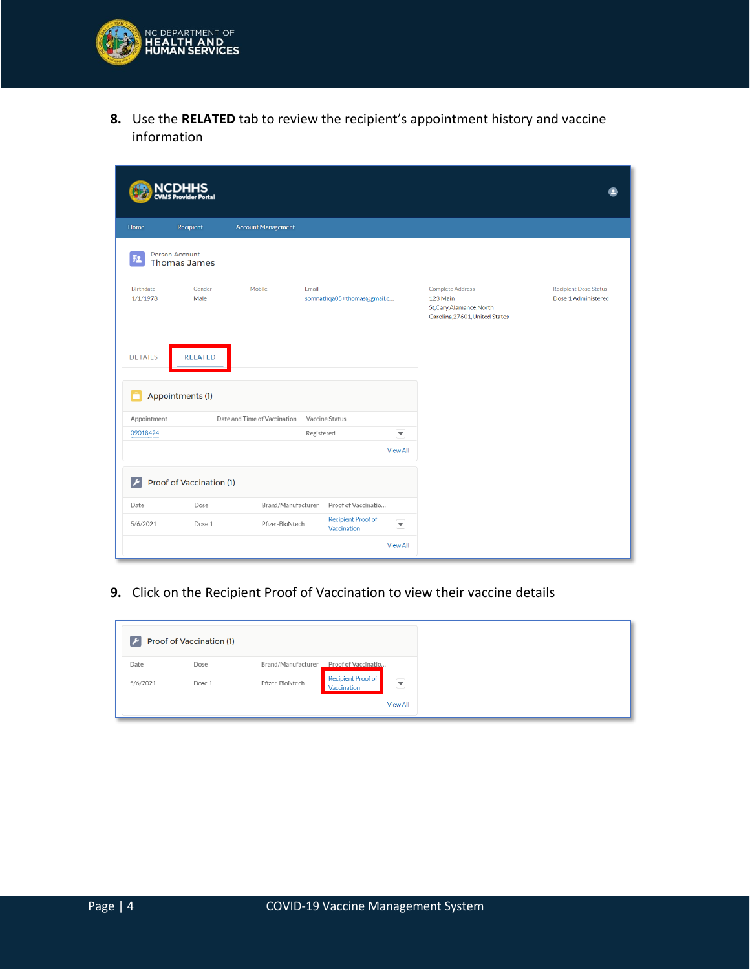

**8.** Use the **RELATED** tab to review the recipient's appointment history and vaccine information

|                       | <b>CDHHS</b>                          |                              |                                                                                 |                                                                                                 |                                                     |
|-----------------------|---------------------------------------|------------------------------|---------------------------------------------------------------------------------|-------------------------------------------------------------------------------------------------|-----------------------------------------------------|
| Home                  | Recipient                             | <b>Account Management</b>    |                                                                                 |                                                                                                 |                                                     |
|                       | Person Account<br><b>Thomas James</b> |                              |                                                                                 |                                                                                                 |                                                     |
| Birthdate<br>1/1/1978 | Gender<br>Male                        | Mobile<br>Email              | somnathqa05+thomas@gmail.c                                                      | <b>Complete Address</b><br>123 Main<br>St,Cary,Alamance,North<br>Carolina, 27601, United States | <b>Recipient Dose Status</b><br>Dose 1 Administered |
| <b>DETAILS</b>        | <b>RELATED</b><br>Appointments (1)    |                              |                                                                                 |                                                                                                 |                                                     |
| Appointment           |                                       | Date and Time of Vaccination | Vaccine Status                                                                  |                                                                                                 |                                                     |
| 09018424              |                                       |                              | $\overline{\phantom{0}}$<br>Registered                                          |                                                                                                 |                                                     |
|                       |                                       |                              | <b>View All</b>                                                                 |                                                                                                 |                                                     |
| $\mathbf{z}$          | Proof of Vaccination (1)              |                              |                                                                                 |                                                                                                 |                                                     |
| Date                  | Dose                                  | Brand/Manufacturer           | Proof of Vaccinatio                                                             |                                                                                                 |                                                     |
| 5/6/2021              | Dose 1                                | Pfizer-BioNtech              | <b>Recipient Proof of</b><br>$\left( \blacktriangledown \right)$<br>Vaccination |                                                                                                 |                                                     |
|                       |                                       |                              | <b>View All</b>                                                                 |                                                                                                 |                                                     |

**9.** Click on the Recipient Proof of Vaccination to view their vaccine details

| $\vert \mathcal{L} \vert$ | Proof of Vaccination (1) |                    |                                   |                         |
|---------------------------|--------------------------|--------------------|-----------------------------------|-------------------------|
| Date                      | Dose                     | Brand/Manufacturer | Proof of Vaccinatio               |                         |
| 5/6/2021                  | Dose 1                   | Pfizer-BioNtech    | Recipient Proof of<br>Vaccination | $\overline{\mathbf{r}}$ |
|                           |                          |                    |                                   | <b>View All</b>         |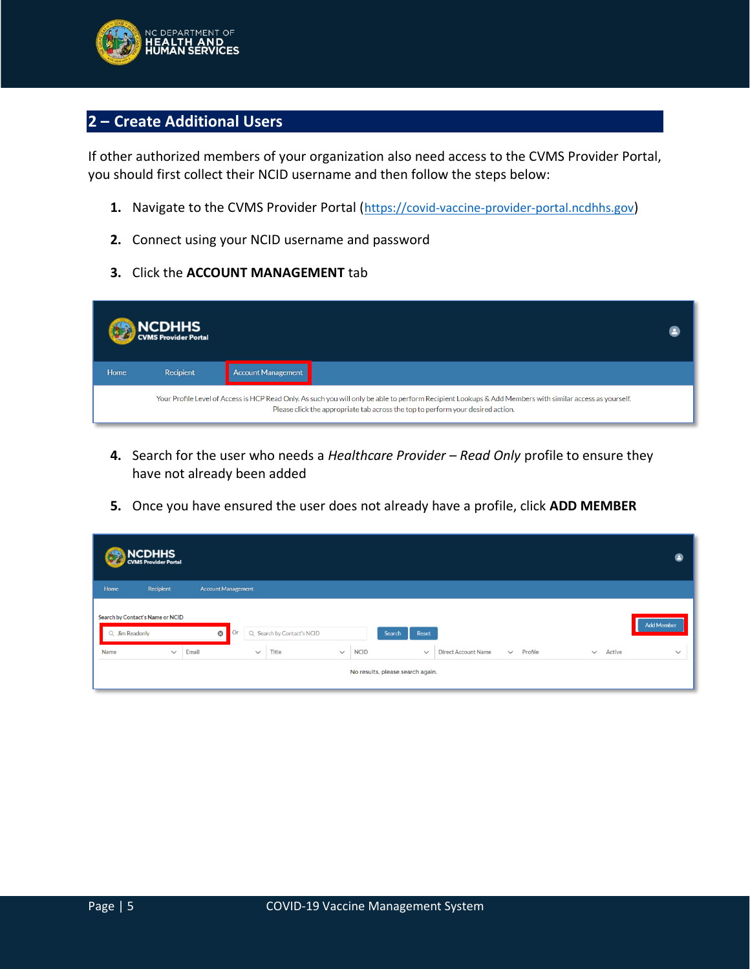

### **2 – Create Additional Users**

If other authorized members of your organization also need access to the CVMS Provider Portal, you should first collect their NCID username and then follow the steps below:

- 1. Navigate to the CVMS Provider Portal ([https://covid-vaccine-provider-portal.ncdhhs.gov](https://covid-vaccine-provider-portal.ncdhhs.gov/))
- **2.** Connect using your NCID username and password
- **3.** Click the **ACCOUNT MANAGEMENT** tab

|      | NCDHHS<br>CVMS Provider Portal |                           |                                                                                                                                                                                                                                             |  |
|------|--------------------------------|---------------------------|---------------------------------------------------------------------------------------------------------------------------------------------------------------------------------------------------------------------------------------------|--|
| Home | <b>Recipient</b>               | <b>Account Management</b> |                                                                                                                                                                                                                                             |  |
|      |                                |                           | Your Profile Level of Access is HCP Read Only. As such you will only be able to perform Recipient Lookups & Add Members with similar access as yourself.<br>Please click the appropriate tab across the top to perform your desired action. |  |

- **4.** Search for the user who needs a *Healthcare Provider – Read Only* profile to ensure they have not already been added
- **5.** Once you have ensured the user does not already have a profile, click **ADD MEMBER**

| NCDHHS<br>CVMS Provider Portal                                                                                                                                                                                                                  |                                                                                                                                               |
|-------------------------------------------------------------------------------------------------------------------------------------------------------------------------------------------------------------------------------------------------|-----------------------------------------------------------------------------------------------------------------------------------------------|
| Recipient<br>Home<br><b>Account Management</b>                                                                                                                                                                                                  |                                                                                                                                               |
| Search by Contact's Name or NCID<br>Or<br>$\circledcirc$<br>Q Search by Contact's NCID<br>Q Jim Readonly<br>Search<br>Email<br>Title<br>Name<br><b>NCID</b><br>$\checkmark$<br>$\checkmark$<br>$\checkmark$<br>No results, please search again. | <b>Add Member</b><br><b>Reset</b><br>Direct Account Name<br>Profile<br>Active<br>$\checkmark$<br>$\checkmark$<br>$\checkmark$<br>$\checkmark$ |